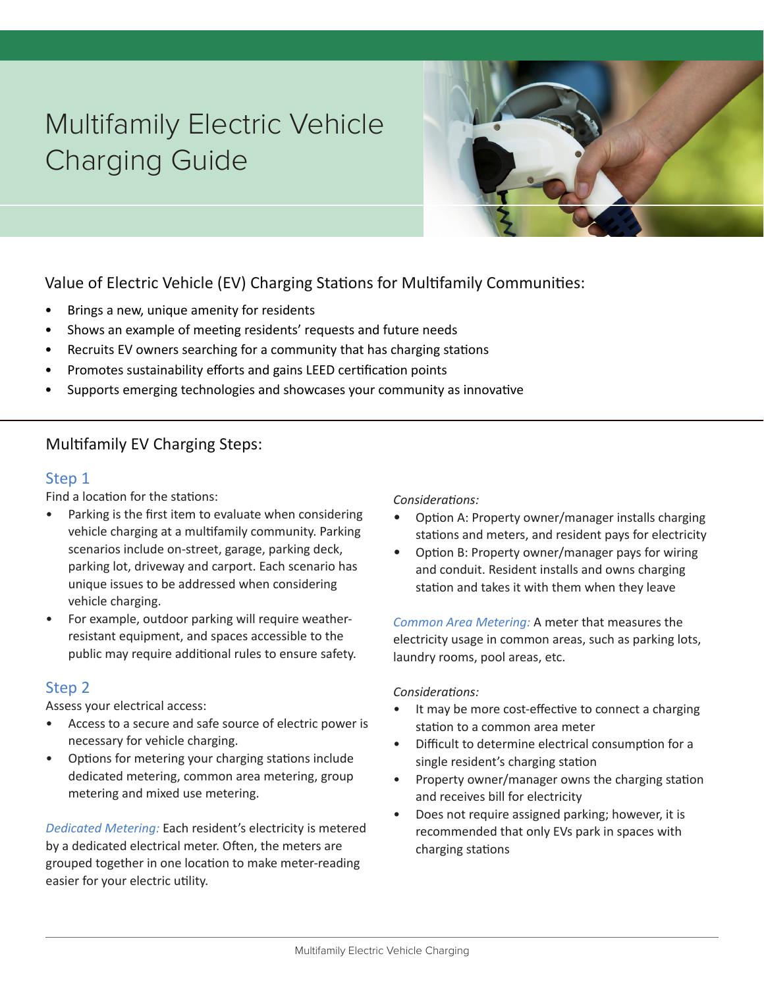# Multifamily Electric Vehicle Charging Guide



Value of Electric Vehicle (EV) Charging Stations for Multifamily Communities:

- Brings a new, unique amenity for residents
- Shows an example of meeting residents' requests and future needs
- Recruits EV owners searching for a community that has charging stations
- Promotes sustainability efforts and gains LEED certification points
- Supports emerging technologies and showcases your community as innovative

# Multifamily EV Charging Steps:

# Step 1

Find a location for the stations:

- Parking is the first item to evaluate when considering vehicle charging at a multifamily community. Parking scenarios include on-street, garage, parking deck, parking lot, driveway and carport. Each scenario has unique issues to be addressed when considering vehicle charging.
- For example, outdoor parking will require weatherresistant equipment, and spaces accessible to the public may require additional rules to ensure safety.

# Step 2

Assess your electrical access:

- Access to a secure and safe source of electric power is necessary for vehicle charging.
- Options for metering your charging stations include dedicated metering, common area metering, group metering and mixed use metering.

*Dedicated Metering:* Each resident's electricity is metered by a dedicated electrical meter. Often, the meters are grouped together in one location to make meter-reading easier for your electric utility.

### *Considerations:*

- Option A: Property owner/manager installs charging stations and meters, and resident pays for electricity
- Option B: Property owner/manager pays for wiring and conduit. Resident installs and owns charging station and takes it with them when they leave

*Common Area Metering:* A meter that measures the electricity usage in common areas, such as parking lots, laundry rooms, pool areas, etc.

#### *Considerations:*

- It may be more cost-effective to connect a charging station to a common area meter
- Difficult to determine electrical consumption for a single resident's charging station
- Property owner/manager owns the charging station and receives bill for electricity
- Does not require assigned parking; however, it is recommended that only EVs park in spaces with charging stations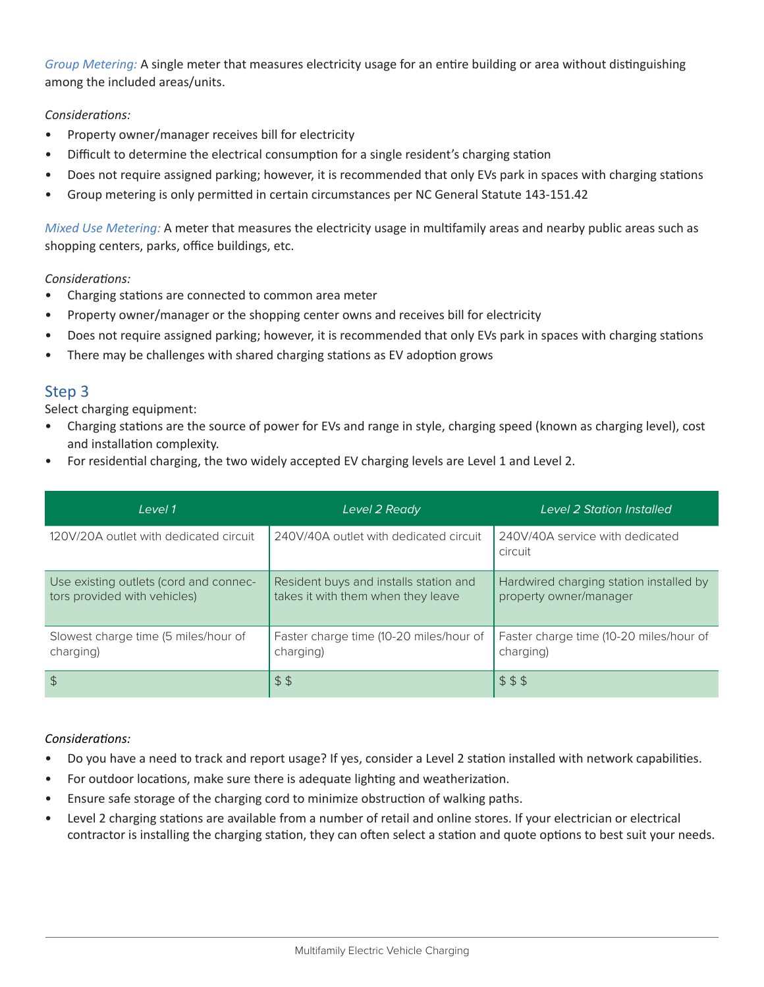*Group Metering:* A single meter that measures electricity usage for an entire building or area without distinguishing among the included areas/units.

## *Considerations:*

- Property owner/manager receives bill for electricity
- Difficult to determine the electrical consumption for a single resident's charging station
- Does not require assigned parking; however, it is recommended that only EVs park in spaces with charging stations
- Group metering is only permitted in certain circumstances per NC General Statute 143-151.42

*Mixed Use Metering:* A meter that measures the electricity usage in multifamily areas and nearby public areas such as shopping centers, parks, office buildings, etc.

#### *Considerations:*

- Charging stations are connected to common area meter
- Property owner/manager or the shopping center owns and receives bill for electricity
- Does not require assigned parking; however, it is recommended that only EVs park in spaces with charging stations
- There may be challenges with shared charging stations as EV adoption grows

## Step 3

Select charging equipment:

- Charging stations are the source of power for EVs and range in style, charging speed (known as charging level), cost and installation complexity.
- For residential charging, the two widely accepted EV charging levels are Level 1 and Level 2.

| level 1                                                                | Level 2 Ready                                                                | Level 2 Station Installed                                         |
|------------------------------------------------------------------------|------------------------------------------------------------------------------|-------------------------------------------------------------------|
| 120V/20A outlet with dedicated circuit                                 | 240V/40A outlet with dedicated circuit                                       | 240V/40A service with dedicated<br>circuit                        |
| Use existing outlets (cord and connec-<br>tors provided with vehicles) | Resident buys and installs station and<br>takes it with them when they leave | Hardwired charging station installed by<br>property owner/manager |
| Slowest charge time (5 miles/hour of<br>charging)                      | Faster charge time (10-20 miles/hour of<br>charging)                         | Faster charge time (10-20 miles/hour of<br>charging)              |
| $\frac{1}{2}$                                                          | \$5                                                                          | \$ 15                                                             |

#### *Considerations:*

- Do you have a need to track and report usage? If yes, consider a Level 2 station installed with network capabilities.
- For outdoor locations, make sure there is adequate lighting and weatherization.
- Ensure safe storage of the charging cord to minimize obstruction of walking paths.
- Level 2 charging stations are available from a number of retail and online stores. If your electrician or electrical contractor is installing the charging station, they can often select a station and quote options to best suit your needs.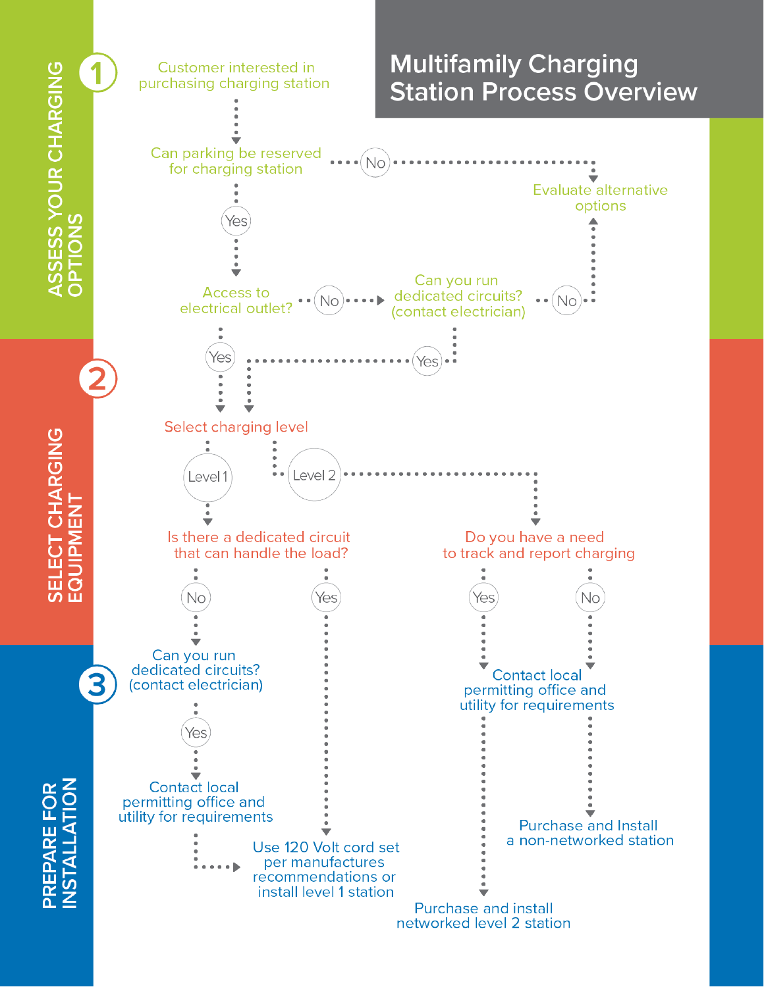